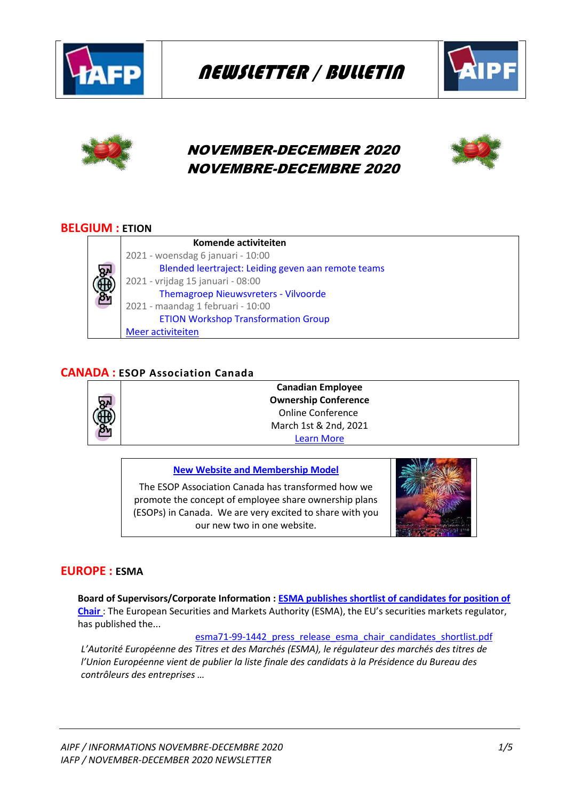

NEWSLETTER / BULLETIN





# NOVEMBER-DECEMBER 2020 NOVEMBRE-DECEMBRE 2020

# **BELGIUM : ETION**

|            | Komende activiteiten                                |
|------------|-----------------------------------------------------|
| <b>BÉB</b> | 2021 - woensdag 6 januari - 10:00                   |
|            | Blended leertraject: Leiding geven aan remote teams |
|            | 2021 - vrijdag 15 januari - 08:00                   |
|            | <b>Themagroep Nieuwsvreters - Vilvoorde</b>         |
|            | 2021 - maandag 1 februari - 10:00                   |
|            | <b>ETION Workshop Transformation Group</b>          |
|            | Meer activiteiten                                   |

# **CANADA : ESOP Association Canada**



**Canadian Employee Ownership Conference** Online Conference March 1st & 2nd, 2021 [Learn More](https://www.esopcanada.ca/content.aspx?page_id=22&club_id=925161&module_id=409822)

## **[New Website and Membership Model](https://www.esopcanada.ca/content.aspx?page_id=22&club_id=925161&module_id=409822)**

The ESOP Association Canada has transformed how we promote the concept of employee share ownership plans (ESOPs) in Canada. We are very excited to share with you our new two in one website.



## **EUROPE : ESMA**

**Board of Supervisors/Corporate Information [: ESMA publishes shortlist of candidates for position of](https://www.esma.europa.eu/press-news/esma-news/esma-publishes-shortlist-candidates-position-chair)  [Chair](https://www.esma.europa.eu/press-news/esma-news/esma-publishes-shortlist-candidates-position-chair)** : The European Securities and Markets Authority (ESMA), the EU's securities markets regulator, has published the...

esma71-99-1442 press release esma chair candidates shortlist.pdf

*L'Autorité Européenne des Titres et des Marchés (ESMA), le régulateur des marchés des titres de l'Union Européenne vient de publier la liste finale des candidats à la Présidence du Bureau des contrôleurs des entreprises …*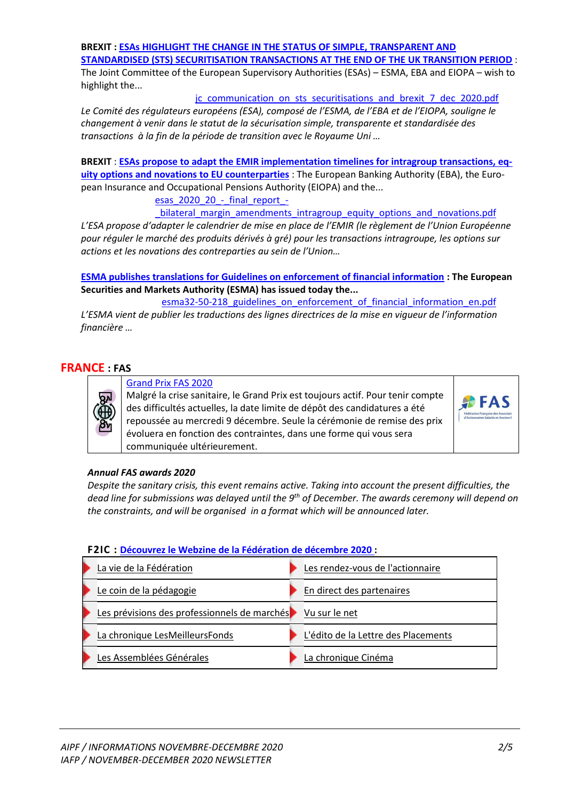## **BREXIT [: ESAs HIGHLIGHT THE CHANGE IN THE STATUS OF SIMPLE, TRANSPARENT AND](https://www.esma.europa.eu/press-news/esma-news/esas-highlight-change-in-status-simple-transparent-and-standardised-sts)**

**[STANDARDISED \(STS\) SECURITISATION TRANSACTIONS AT THE END OF THE UK TRANSITION PERIOD](https://www.esma.europa.eu/press-news/esma-news/esas-highlight-change-in-status-simple-transparent-and-standardised-sts)** : The Joint Committee of the European Supervisory Authorities (ESAs) – ESMA, EBA and EIOPA – wish to highlight the...

#### [jc\\_communication\\_on\\_sts\\_securitisations\\_and\\_brexit\\_7\\_dec\\_2020.pdf](https://www.esma.europa.eu/sites/default/files/library/jc_communication_on_sts_securitisations_and_brexit_7_dec_2020.pdf)

*Le Comité des régulateurs européens (ESA), composé de l'ESMA, de l'EBA et de l'EIOPA, souligne le changement à venir dans le statut de la sécurisation simple, transparente et standardisée des transactions à la fin de la période de transition avec le Royaume Uni …* 

**BREXIT** : **[ESAs propose to adapt the EMIR implementation timelines for intragroup transactions, eq](https://www.esma.europa.eu/press-news/esma-news/esas-propose-adapt-emir-implementation-timelines-intragroup-transactions-equity)[uity options and novations to EU counterparties](https://www.esma.europa.eu/press-news/esma-news/esas-propose-adapt-emir-implementation-timelines-intragroup-transactions-equity)** : The European Banking Authority (EBA), the European Insurance and Occupational Pensions Authority (EIOPA) and the...

esas 2020 20 - final report -

bilateral margin amendments intragroup equity options and novations.pdf

*L'ESA propose d'adapter le calendrier de mise en place de l'EMIR (le règlement de l'Union Européenne pour réguler le marché des produits dérivés à gré) pour les transactions intragroupe, les options sur actions et les novations des contreparties au sein de l'Union…* 

**[ESMA publishes translations for Guidelines on enforcement of financial information](https://www.esma.europa.eu/press-news/esma-news/esma-publishes-translations-guidelines-enforcement-financial-information) : The European Securities and Markets Authority (ESMA) has issued today the...**

esma32-50-218 guidelines on enforcement of financial information en.pdf *L'ESMA vient de publier les traductions des lignes directrices de la mise en vigueur de l'information financière …* 

## **FRANCE : FAS**



[Grand Prix FAS 2020](https://www.fondact.org/actualites-fondact/grand-prix-fas-2020)

Malgré la crise sanitaire, le Grand Prix est toujours actif. Pour tenir compte des difficultés actuelles, la date limite de dépôt des candidatures a été repoussée au mercredi 9 décembre. Seule la cérémonie de remise des prix évoluera en fonction des contraintes, dans une forme qui vous sera communiquée ultérieurement.



#### *Annual FAS awards 2020*

*Despite the sanitary crisis, this event remains active. Taking into account the present difficulties, the dead line for submissions was delayed until the 9th of December. The awards ceremony will depend on the constraints, and will be organised in a format which will be announced later.* 

#### **F2IC : [Découvrez le Webzine de la Fédération de décembre 2020](https://www.f2ic.fr/ffci-portal/cms/7128/accueil.dhtml) :**

| La vie de la Fédération                      | Les rendez-vous de l'actionnaire    |
|----------------------------------------------|-------------------------------------|
| Le coin de la pédagogie                      | En direct des partenaires           |
| Les prévisions des professionnels de marchés | Vu sur le net                       |
| La chronique LesMeilleursFonds               | L'édito de la Lettre des Placements |
| Les Assemblées Générales                     | La chronique Cinéma                 |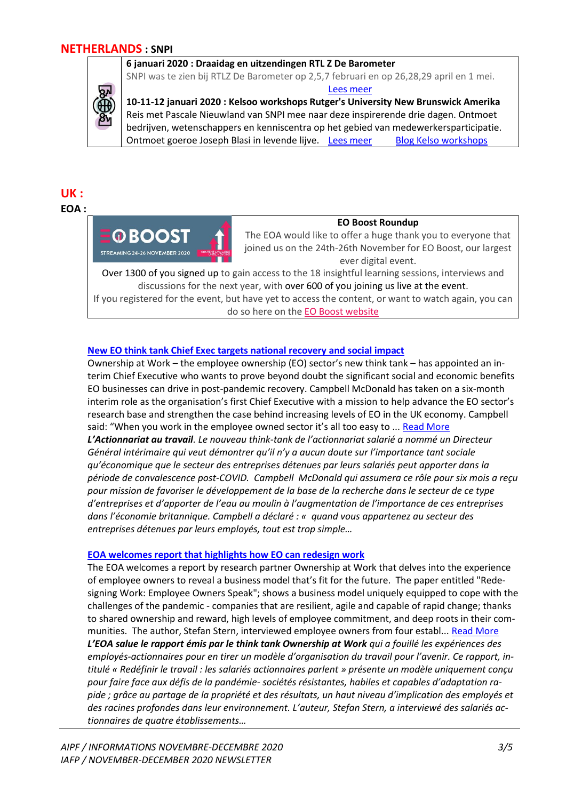## **NETHERLANDS : SNPI**

**6 januari 2020 : Draaidag en uitzendingen RTL Z De Barometer**

SNPI was te zien bij RTLZ De Barometer op 2,5,7 februari en op 26,28,29 april en 1 mei. [Lees meer](https://www.snpi.nl/de-barometer-2020?hsCtaTracking=7e020562-2cc0-497e-a4f3-3521e3ececed%7C7de51698-65f3-42fb-b63b-f536d7ee6b19)

**10-11-12 januari 2020 : Kelsoo workshops Rutger's University New Brunswick Amerika** Reis met Pascale Nieuwland van SNPI mee naar deze inspirerende drie dagen. Ontmoet bedrijven, wetenschappers en kenniscentra op het gebied van medewerkersparticipatie. Ontmoet goeroe Joseph Blasi in levende lijve. [Lees meer](https://smlr.rutgers.edu/content/institute-study-employee-ownership-and-profit-sharing?__hstc=&__hssc=&hsCtaTracking=8eb062c5-5744-4ff9-97a8-8d344cb9bd67%7Cd3c598e0-6777-428f-bc01-c7188faac200) [Blog Kelso workshops](https://blog.snpi.nl/de_samenleving_is_meer_toe_aan_gelijkwaardigheid_en_eerlijkheid?hsLang=nl-nl)

# **UK :**

## **EOA :**



# **EO Boost Roundup**

The EOA would like to offer a huge thank you to everyone that joined us on the 24th-26th November for EO Boost, our largest ever digital event.

Over 1300 of you signed up to gain access to the 18 insightful learning sessions, interviews and discussions for the next year, with over 600 of you joining us live at the event.

If you registered for the event, but have yet to access the content, or want to watch again, you can do so here on the [EO Boost website](https://employeeownership.us8.list-manage.com/track/click?u=d65aa51c4342227706cbb8213&id=cad7122ab0&e=249130e937)

## **[New EO think tank Chief Exec targets national recovery and social impact](https://employeeownership.co.uk/oaw-news/new-eo-think-tank-chief-exec-targets-national-recovery-and-social-impact/)**

Ownership at Work – the employee ownership (EO) sector's new think tank – has appointed an interim Chief Executive who wants to prove beyond doubt the significant social and economic benefits EO businesses can drive in post-pandemic recovery. Campbell McDonald has taken on a six-month interim role as the organisation's first Chief Executive with a mission to help advance the EO sector's research base and strengthen the case behind increasing levels of EO in the UK economy. Campbell said: "When you work in the employee owned sector it's all too easy to ... [Read More](https://employeeownership.co.uk/oaw-news/new-eo-think-tank-chief-exec-targets-national-recovery-and-social-impact/) *L'Actionnariat au travail. Le nouveau think-tank de l'actionnariat salarié a nommé un Directeur Général intérimaire qui veut démontrer qu'il n'y a aucun doute sur l'importance tant sociale qu'économique que le secteur des entreprises détenues par leurs salariés peut apporter dans la période de convalescence post-COVID. Campbell McDonald qui assumera ce rôle pour six mois a reçu pour mission de favoriser le développement de la base de la recherche dans le secteur de ce type d'entreprises et d'apporter de l'eau au moulin à l'augmentation de l'importance de ces entreprises dans l'économie britannique. Campbell a déclaré : « quand vous appartenez au secteur des entreprises détenues par leurs employés, tout est trop simple…*

## **[EOA welcomes report that highlights how EO can redesign work](https://employeeownership.co.uk/news/eoa-welcomes-report-that-highlights-how-eo-redesigns-work/)**

The EOA welcomes a report by research partner Ownership at Work that delves into the experience of employee owners to reveal a business model that's fit for the future. The paper entitled "Redesigning Work: Employee Owners Speak"; shows a business model uniquely equipped to cope with the challenges of the pandemic - companies that are resilient, agile and capable of rapid change; thanks to shared ownership and reward, high levels of employee commitment, and deep roots in their communities. The author, Stefan Stern, interviewed employee owners from four establ... [Read More](https://employeeownership.co.uk/news/eoa-welcomes-report-that-highlights-how-eo-redesigns-work/) *L'EOA salue le rapport émis par le think tank Ownership at Work qui a fouillé les expériences des employés-actionnaires pour en tirer un modèle d'organisation du travail pour l'avenir. Ce rapport, intitulé « Redéfinir le travail : les salariés actionnaires parlent » présente un modèle uniquement conçu pour faire face aux défis de la pandémie- sociétés résistantes, habiles et capables d'adaptation rapide ; grâce au partage de la propriété et des résultats, un haut niveau d'implication des employés et des racines profondes dans leur environnement. L'auteur, Stefan Stern, a interviewé des salariés actionnaires de quatre établissements…*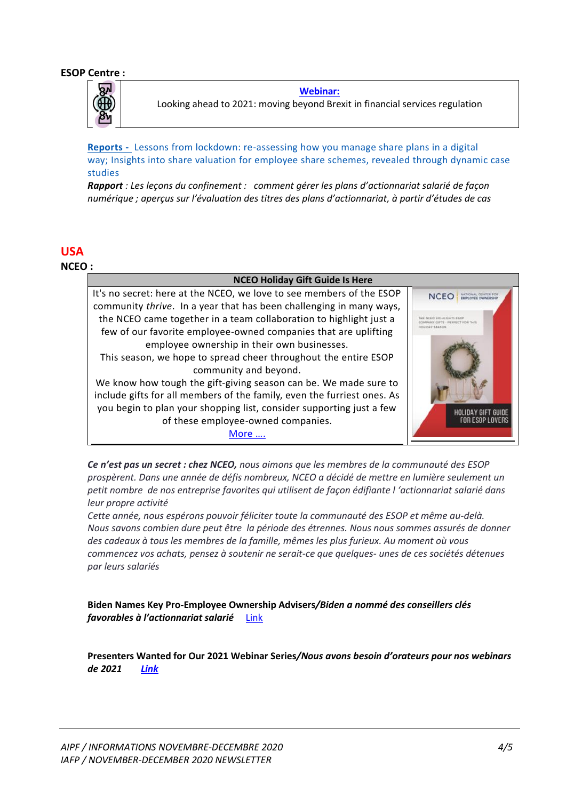

**[Webinar:](https://esopcentre.com/wp-content/uploads/dlm_uploads/2020/11/newspad-December-2020-2.pdf#page=6)** Looking ahead to 2021: moving beyond Brexit in financial services regulation

**Reports -** Lessons [from lockdown: re-assessing how you manage share plans in a digital](https://esopcentre.us2.list-manage.com/track/click?u=ff32d8bf1e7377ac5e97fe053&id=168e988a2d&e=1a340c5b33)  way; [Insights into share valuation for employee share schemes, revealed through dynamic case](https://esopcentre.us2.list-manage.com/track/click?u=ff32d8bf1e7377ac5e97fe053&id=168e988a2d&e=1a340c5b33)  [studies](https://esopcentre.us2.list-manage.com/track/click?u=ff32d8bf1e7377ac5e97fe053&id=168e988a2d&e=1a340c5b33)

*Rapport : Les leçons du confinement : comment gérer les plans d'actionnariat salarié de façon numérique ; aperçus sur l'évaluation des titres des plans d'actionnariat, à partir d'études de cas* 

# **USA**

**NCEO :**

## **NCEO Holiday Gift Guide Is Here**

It's no secret: here at the NCEO, we love to see members of the ESOP NCEO : community *thrive*. In a year that has been challenging in many ways, the NCEO came together in a team collaboration to highlight just a few of our favorite employee-owned companies that are uplifting employee ownership in their own businesses. This season, we hope to spread cheer throughout the entire ESOP community and beyond. We know how tough the gift-giving season can be. We made sure to include gifts for all members of the family, even the furriest ones. As you begin to plan your shopping list, consider supporting just a few IOLIDAY GIFT GUIDE of these employee-owned companies. FOR ESOP LOVERS [More ….](https://www.nceo.org/employee-ownership-blog/nceo-holiday-gift-guide-here)

*Ce n'est pas un secret : chez NCEO, nous aimons que les membres de la communauté des ESOP prospèrent. Dans une année de défis nombreux, NCEO a décidé de mettre en lumière seulement un petit nombre de nos entreprise favorites qui utilisent de façon édifiante l 'actionnariat salarié dans leur propre activité*

*Cette année, nous espérons pouvoir féliciter toute la communauté des ESOP et même au-delà. Nous savons combien dure peut être la période des étrennes. Nous nous sommes assurés de donner des cadeaux à tous les membres de la famille, mêmes les plus furieux. Au moment où vous commencez vos achats, pensez à soutenir ne serait-ce que quelques- unes de ces sociétés détenues par leurs salariés*

**Biden Names Key Pro-Employee Ownership Advisers***/Biden a nommé des conseillers clés favorables à l'actionnariat salarié* [Link](https://www.nceo.org/employee-ownership-blog/biden-names-key-pro-employee-ownership-advisers)

**Presenters Wanted for Our 2021 Webinar Series***/Nous avons besoin d'orateurs pour nos webinars de 2021 [Link](https://www.nceo.org/employee-ownership-blog/presenters-wanted-our-2021-webinar-series)*